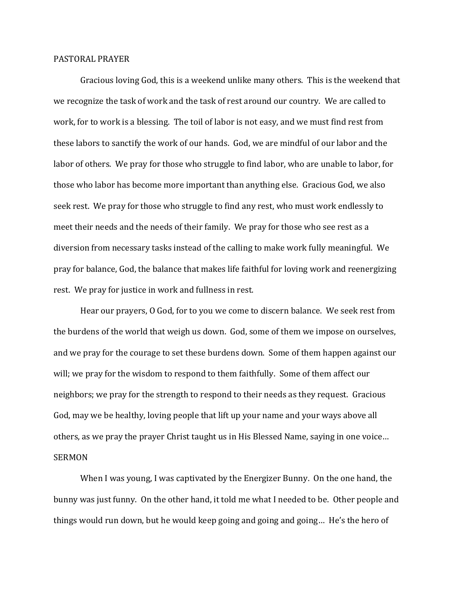## PASTORAL PRAYER

Gracious loving God, this is a weekend unlike many others. This is the weekend that we recognize the task of work and the task of rest around our country. We are called to work, for to work is a blessing. The toil of labor is not easy, and we must find rest from these labors to sanctify the work of our hands. God, we are mindful of our labor and the labor of others. We pray for those who struggle to find labor, who are unable to labor, for those who labor has become more important than anything else. Gracious God, we also seek rest. We pray for those who struggle to find any rest, who must work endlessly to meet their needs and the needs of their family. We pray for those who see rest as a diversion from necessary tasks instead of the calling to make work fully meaningful. We pray for balance, God, the balance that makes life faithful for loving work and reenergizing rest. We pray for justice in work and fullness in rest.

Hear our prayers, O God, for to you we come to discern balance. We seek rest from the burdens of the world that weigh us down. God, some of them we impose on ourselves, and we pray for the courage to set these burdens down. Some of them happen against our will; we pray for the wisdom to respond to them faithfully. Some of them affect our neighbors; we pray for the strength to respond to their needs as they request. Gracious God, may we be healthy, loving people that lift up your name and your ways above all others, as we pray the prayer Christ taught us in His Blessed Name, saying in one voice… SERMON

When I was young, I was captivated by the Energizer Bunny. On the one hand, the bunny was just funny. On the other hand, it told me what I needed to be. Other people and things would run down, but he would keep going and going and going… He's the hero of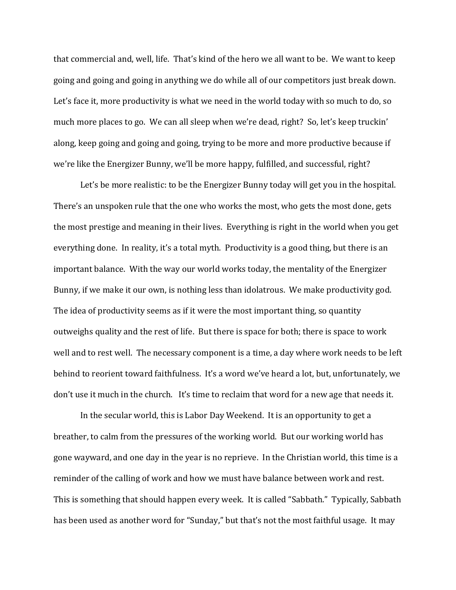that commercial and, well, life. That's kind of the hero we all want to be. We want to keep going and going and going in anything we do while all of our competitors just break down. Let's face it, more productivity is what we need in the world today with so much to do, so much more places to go. We can all sleep when we're dead, right? So, let's keep truckin' along, keep going and going and going, trying to be more and more productive because if we're like the Energizer Bunny, we'll be more happy, fulfilled, and successful, right?

Let's be more realistic: to be the Energizer Bunny today will get you in the hospital. There's an unspoken rule that the one who works the most, who gets the most done, gets the most prestige and meaning in their lives. Everything is right in the world when you get everything done. In reality, it's a total myth. Productivity is a good thing, but there is an important balance. With the way our world works today, the mentality of the Energizer Bunny, if we make it our own, is nothing less than idolatrous. We make productivity god. The idea of productivity seems as if it were the most important thing, so quantity outweighs quality and the rest of life. But there is space for both; there is space to work well and to rest well. The necessary component is a time, a day where work needs to be left behind to reorient toward faithfulness. It's a word we've heard a lot, but, unfortunately, we don't use it much in the church. It's time to reclaim that word for a new age that needs it.

In the secular world, this is Labor Day Weekend. It is an opportunity to get a breather, to calm from the pressures of the working world. But our working world has gone wayward, and one day in the year is no reprieve. In the Christian world, this time is a reminder of the calling of work and how we must have balance between work and rest. This is something that should happen every week. It is called "Sabbath." Typically, Sabbath has been used as another word for "Sunday," but that's not the most faithful usage. It may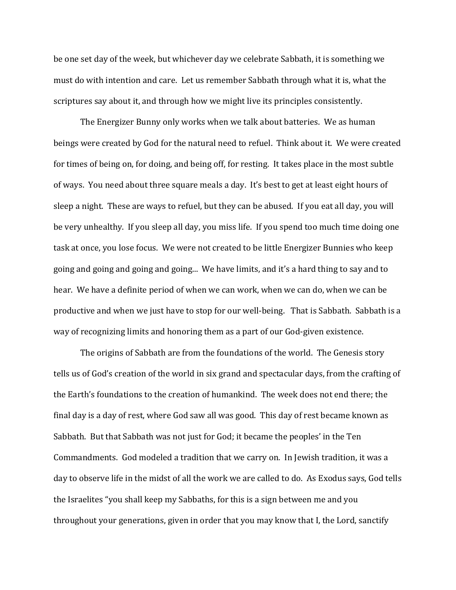be one set day of the week, but whichever day we celebrate Sabbath, it is something we must do with intention and care. Let us remember Sabbath through what it is, what the scriptures say about it, and through how we might live its principles consistently.

The Energizer Bunny only works when we talk about batteries. We as human beings were created by God for the natural need to refuel. Think about it. We were created for times of being on, for doing, and being off, for resting. It takes place in the most subtle of ways. You need about three square meals a day. It's best to get at least eight hours of sleep a night. These are ways to refuel, but they can be abused. If you eat all day, you will be very unhealthy. If you sleep all day, you miss life. If you spend too much time doing one task at once, you lose focus. We were not created to be little Energizer Bunnies who keep going and going and going and going... We have limits, and it's a hard thing to say and to hear. We have a definite period of when we can work, when we can do, when we can be productive and when we just have to stop for our well-being. That is Sabbath. Sabbath is a way of recognizing limits and honoring them as a part of our God-given existence.

The origins of Sabbath are from the foundations of the world. The Genesis story tells us of God's creation of the world in six grand and spectacular days, from the crafting of the Earth's foundations to the creation of humankind. The week does not end there; the final day is a day of rest, where God saw all was good. This day of rest became known as Sabbath. But that Sabbath was not just for God; it became the peoples' in the Ten Commandments. God modeled a tradition that we carry on. In Jewish tradition, it was a day to observe life in the midst of all the work we are called to do. As Exodus says, God tells the Israelites "you shall keep my Sabbaths, for this is a sign between me and you throughout your generations, given in order that you may know that I, the Lord, sanctify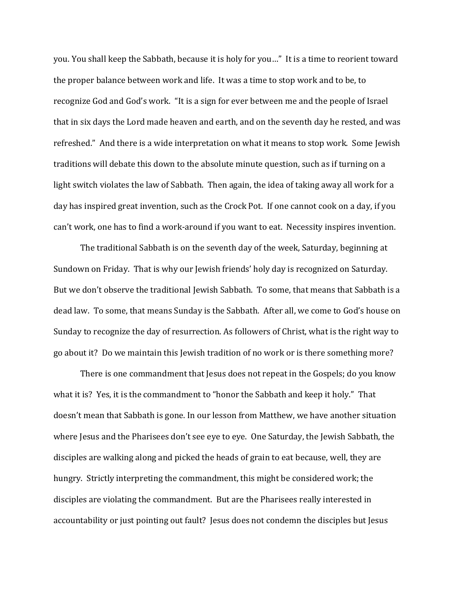you. You shall keep the Sabbath, because it is holy for you…" It is a time to reorient toward the proper balance between work and life. It was a time to stop work and to be, to recognize God and God's work. "It is a sign for ever between me and the people of Israel that in six days the Lord made heaven and earth, and on the seventh day he rested, and was refreshed." And there is a wide interpretation on what it means to stop work. Some Jewish traditions will debate this down to the absolute minute question, such as if turning on a light switch violates the law of Sabbath. Then again, the idea of taking away all work for a day has inspired great invention, such as the Crock Pot. If one cannot cook on a day, if you can't work, one has to find a work-around if you want to eat. Necessity inspires invention.

The traditional Sabbath is on the seventh day of the week, Saturday, beginning at Sundown on Friday. That is why our Jewish friends' holy day is recognized on Saturday. But we don't observe the traditional Jewish Sabbath. To some, that means that Sabbath is a dead law. To some, that means Sunday is the Sabbath. After all, we come to God's house on Sunday to recognize the day of resurrection. As followers of Christ, what is the right way to go about it? Do we maintain this Jewish tradition of no work or is there something more?

There is one commandment that Jesus does not repeat in the Gospels; do you know what it is? Yes, it is the commandment to "honor the Sabbath and keep it holy." That doesn't mean that Sabbath is gone. In our lesson from Matthew, we have another situation where Jesus and the Pharisees don't see eye to eye. One Saturday, the Jewish Sabbath, the disciples are walking along and picked the heads of grain to eat because, well, they are hungry. Strictly interpreting the commandment, this might be considered work; the disciples are violating the commandment. But are the Pharisees really interested in accountability or just pointing out fault? Jesus does not condemn the disciples but Jesus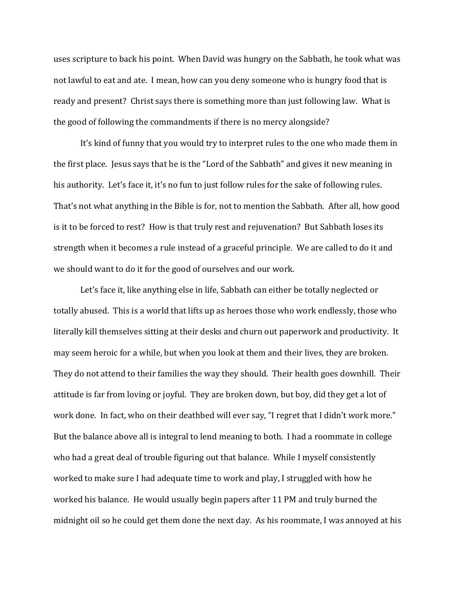uses scripture to back his point. When David was hungry on the Sabbath, he took what was not lawful to eat and ate. I mean, how can you deny someone who is hungry food that is ready and present? Christ says there is something more than just following law. What is the good of following the commandments if there is no mercy alongside?

It's kind of funny that you would try to interpret rules to the one who made them in the first place. Jesus says that he is the "Lord of the Sabbath" and gives it new meaning in his authority. Let's face it, it's no fun to just follow rules for the sake of following rules. That's not what anything in the Bible is for, not to mention the Sabbath. After all, how good is it to be forced to rest? How is that truly rest and rejuvenation? But Sabbath loses its strength when it becomes a rule instead of a graceful principle. We are called to do it and we should want to do it for the good of ourselves and our work.

Let's face it, like anything else in life, Sabbath can either be totally neglected or totally abused. This is a world that lifts up as heroes those who work endlessly, those who literally kill themselves sitting at their desks and churn out paperwork and productivity. It may seem heroic for a while, but when you look at them and their lives, they are broken. They do not attend to their families the way they should. Their health goes downhill. Their attitude is far from loving or joyful. They are broken down, but boy, did they get a lot of work done. In fact, who on their deathbed will ever say, "I regret that I didn't work more." But the balance above all is integral to lend meaning to both. I had a roommate in college who had a great deal of trouble figuring out that balance. While I myself consistently worked to make sure I had adequate time to work and play, I struggled with how he worked his balance. He would usually begin papers after 11 PM and truly burned the midnight oil so he could get them done the next day. As his roommate, I was annoyed at his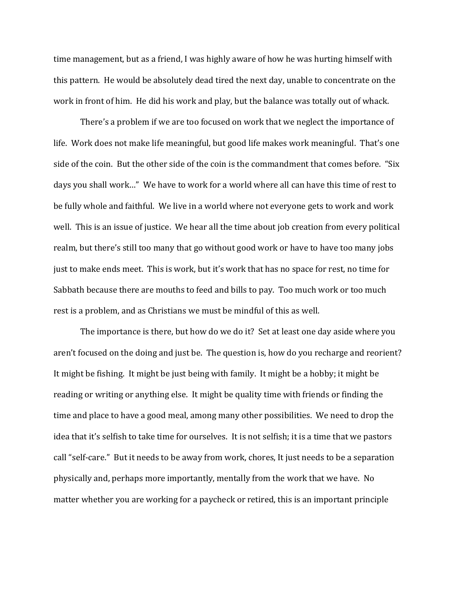time management, but as a friend, I was highly aware of how he was hurting himself with this pattern. He would be absolutely dead tired the next day, unable to concentrate on the work in front of him. He did his work and play, but the balance was totally out of whack.

There's a problem if we are too focused on work that we neglect the importance of life. Work does not make life meaningful, but good life makes work meaningful. That's one side of the coin. But the other side of the coin is the commandment that comes before. "Six days you shall work…" We have to work for a world where all can have this time of rest to be fully whole and faithful. We live in a world where not everyone gets to work and work well. This is an issue of justice. We hear all the time about job creation from every political realm, but there's still too many that go without good work or have to have too many jobs just to make ends meet. This is work, but it's work that has no space for rest, no time for Sabbath because there are mouths to feed and bills to pay. Too much work or too much rest is a problem, and as Christians we must be mindful of this as well.

The importance is there, but how do we do it? Set at least one day aside where you aren't focused on the doing and just be. The question is, how do you recharge and reorient? It might be fishing. It might be just being with family. It might be a hobby; it might be reading or writing or anything else. It might be quality time with friends or finding the time and place to have a good meal, among many other possibilities. We need to drop the idea that it's selfish to take time for ourselves. It is not selfish; it is a time that we pastors call "self-care." But it needs to be away from work, chores, It just needs to be a separation physically and, perhaps more importantly, mentally from the work that we have. No matter whether you are working for a paycheck or retired, this is an important principle